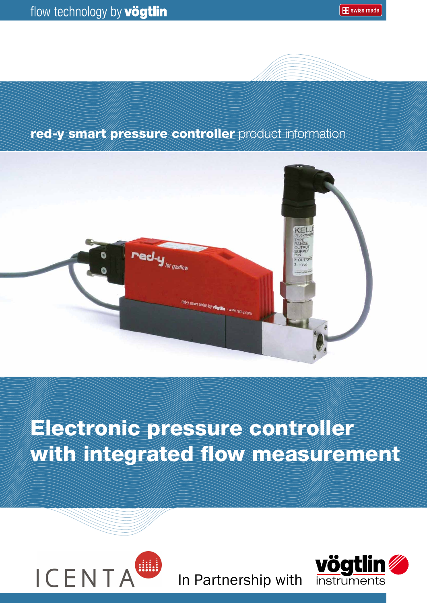Swiss made

### red-y smart pressure controller product information



# Electronic pressure controller with integrated flow measurement



In Partnership with

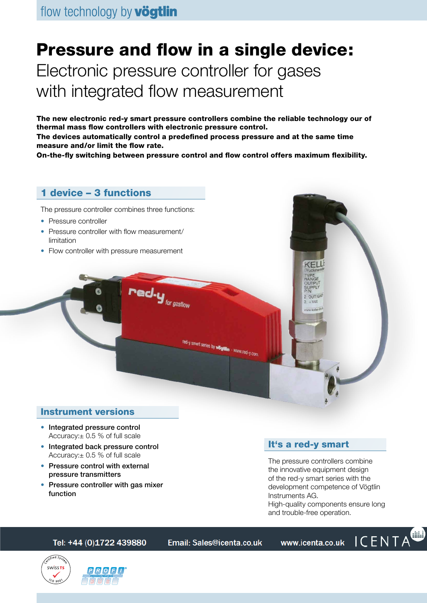# Pressure and flow in a single device: Electronic pressure controller for gases with integrated flow measurement

The new electronic red-y smart pressure controllers combine the reliable technology our of thermal mass flow controllers with electronic pressure control.

The devices automatically control a predefined process pressure and at the same time measure and/or limit the flow rate.

On-the-fly switching between pressure control and flow control offers maximum flexibility.

#### 1 device – 3 functions

The pressure controller combines three functions:

- Pressure controller
- Pressure controller with flow measurement/ limitation
- Flow controller with pressure measurement

red.y $_{\rm_{\it for\,gasflow}}$ 

#### Instrument versions

- Integrated pressure control Accuracy:± 0.5 % of full scale
- Integrated back pressure control Accuracy:± 0.5 % of full scale
- Pressure control with external pressure transmitters
- Pressure controller with gas mixer function

#### It's a red-y smart

The pressure controllers combine the innovative equipment design of the red-y smart series with the development competence of Vögtlin Instruments AG. High-quality components ensure long and trouble-free operation.

 $\bigoplus$ 

**ICENTA** 

#### Tel: +44 (0)1722 439880

Email: Sales@icenta.co.uk

www.icenta.co.uk



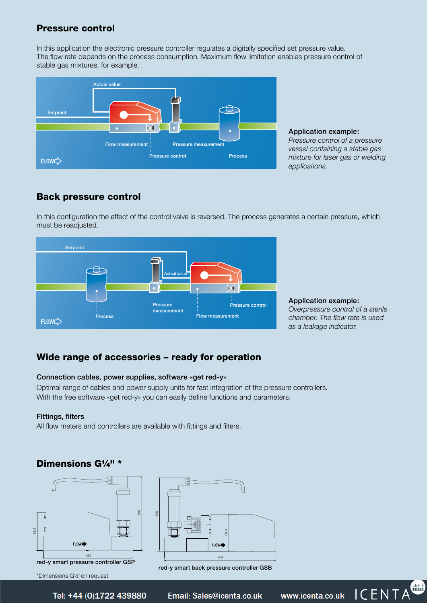#### Pressure control

In this application the electronic pressure controller regulates a digitally specified set pressure value. The flow rate depends on the process consumption. Maximum flow limitation enables pressure control of stable gas mixtures, for example.



#### Application example:

*Pressure control of a pressure vessel containing a stable gas mixture for laser gas or welding applications.*

#### Back pressure control

In this configuration the effect of the control valve is reversed. The process generates a certain pressure, which must be readjusted.



#### Application example:

*Overpressure control of a sterile chamber. The flow rate is used as a leakage indicator.*

#### Wide range of accessories – ready for operation

#### Connection cables, power supplies, software «get red-y»

Optimal range of cables and power supply units for fast integration of the pressure controllers. With the free software «get red-y» you can easily define functions and parameters.

#### Fittings, filters

All flow meters and controllers are available with fittings and filters.

#### Dimensions G1/4" \*





red-y smart back pressure controller GSB

\*Dimensions G½˝ on request

Tel: +44 (0)1722 439880

Email: Sales@icenta.co.uk

www.icenta.co.uk | CENTA

 $\blacksquare$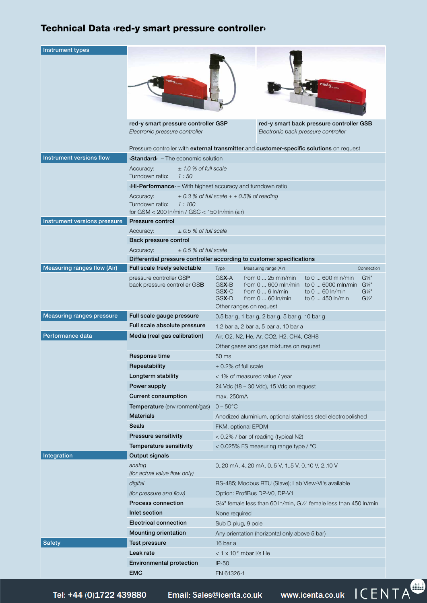#### Technical Data ‹red-y smart pressure controller›

| Instrument types                    |                                                                                                                                     |                                                                                                            |                                                                                                                                             |  |  |  |  |  |  |  |  |  |
|-------------------------------------|-------------------------------------------------------------------------------------------------------------------------------------|------------------------------------------------------------------------------------------------------------|---------------------------------------------------------------------------------------------------------------------------------------------|--|--|--|--|--|--|--|--|--|
|                                     |                                                                                                                                     |                                                                                                            |                                                                                                                                             |  |  |  |  |  |  |  |  |  |
|                                     |                                                                                                                                     |                                                                                                            |                                                                                                                                             |  |  |  |  |  |  |  |  |  |
|                                     |                                                                                                                                     |                                                                                                            |                                                                                                                                             |  |  |  |  |  |  |  |  |  |
|                                     |                                                                                                                                     |                                                                                                            |                                                                                                                                             |  |  |  |  |  |  |  |  |  |
|                                     |                                                                                                                                     |                                                                                                            |                                                                                                                                             |  |  |  |  |  |  |  |  |  |
|                                     |                                                                                                                                     |                                                                                                            |                                                                                                                                             |  |  |  |  |  |  |  |  |  |
|                                     | red-y smart pressure controller GSP                                                                                                 |                                                                                                            | red-y smart back pressure controller GSB<br>Electronic back pressure controller                                                             |  |  |  |  |  |  |  |  |  |
|                                     | Electronic pressure controller                                                                                                      |                                                                                                            |                                                                                                                                             |  |  |  |  |  |  |  |  |  |
|                                     |                                                                                                                                     |                                                                                                            |                                                                                                                                             |  |  |  |  |  |  |  |  |  |
| Instrument versions flow            | Pressure controller with external transmitter and customer-specific solutions on request<br><b>Standard</b> - The economic solution |                                                                                                            |                                                                                                                                             |  |  |  |  |  |  |  |  |  |
|                                     | $± 1.0 %$ of full scale<br>Accuracy:                                                                                                |                                                                                                            |                                                                                                                                             |  |  |  |  |  |  |  |  |  |
|                                     | Turndown ratio:<br>1:50                                                                                                             |                                                                                                            |                                                                                                                                             |  |  |  |  |  |  |  |  |  |
|                                     | <b>Hi-Performance</b> - With highest accuracy and turndown ratio                                                                    |                                                                                                            |                                                                                                                                             |  |  |  |  |  |  |  |  |  |
|                                     | $\pm$ 0.3 % of full scale + $\pm$ 0.5% of reading<br>Accuracy:                                                                      |                                                                                                            |                                                                                                                                             |  |  |  |  |  |  |  |  |  |
|                                     | Turndown ratio:<br>1:100                                                                                                            |                                                                                                            |                                                                                                                                             |  |  |  |  |  |  |  |  |  |
| <b>Instrument versions pressure</b> | for GSM $<$ 200 ln/min / GSC $<$ 150 ln/min (air)<br>Pressure control                                                               |                                                                                                            |                                                                                                                                             |  |  |  |  |  |  |  |  |  |
|                                     | $\pm$ 0.5 % of full scale                                                                                                           |                                                                                                            |                                                                                                                                             |  |  |  |  |  |  |  |  |  |
|                                     | Accuracy:<br>Back pressure control                                                                                                  |                                                                                                            |                                                                                                                                             |  |  |  |  |  |  |  |  |  |
|                                     | $\pm$ 0.5 % of full scale<br>Accuracy:                                                                                              |                                                                                                            |                                                                                                                                             |  |  |  |  |  |  |  |  |  |
|                                     | Differential pressure controller according to customer specifications                                                               |                                                                                                            |                                                                                                                                             |  |  |  |  |  |  |  |  |  |
| Measuring ranges flow (Air)         | Full scale freely selectable                                                                                                        | Type                                                                                                       | Measuring range (Air)<br>Connection                                                                                                         |  |  |  |  |  |  |  |  |  |
|                                     | pressure controller GSP                                                                                                             | GSX-A                                                                                                      | to 0  600 mln/min<br>G <sup>1/4</sup><br>from $0 \dots 25$ mln/min                                                                          |  |  |  |  |  |  |  |  |  |
|                                     | back pressure controller GSB                                                                                                        | GSX-B<br>GSX-C                                                                                             | from $0 \dots 600$ mln/min to $0 \dots 6000$ mln/min<br>G <sup>1/4</sup><br>from $0 \dots 6 \ln/min$<br>to 0  60 ln/min<br>G <sup>1/4</sup> |  |  |  |  |  |  |  |  |  |
|                                     |                                                                                                                                     | GSX-D                                                                                                      | from $0 \dots 60 \ln/min$<br>to 0  450 ln/min<br>$G\frac{1}{2}$ "                                                                           |  |  |  |  |  |  |  |  |  |
|                                     |                                                                                                                                     | Other ranges on request                                                                                    |                                                                                                                                             |  |  |  |  |  |  |  |  |  |
| <b>Measuring ranges pressure</b>    | Full scale gauge pressure                                                                                                           |                                                                                                            | 0.5 bar g, 1 bar g, 2 bar g, 5 bar g, 10 bar g                                                                                              |  |  |  |  |  |  |  |  |  |
|                                     | Full scale absolute pressure                                                                                                        | 1.2 bar a, 2 bar a, 5 bar a, 10 bar a                                                                      |                                                                                                                                             |  |  |  |  |  |  |  |  |  |
| Performance data                    | Media (real gas calibration)                                                                                                        |                                                                                                            | Air, O2, N2, He, Ar, CO2, H2, CH4, C3H8                                                                                                     |  |  |  |  |  |  |  |  |  |
|                                     |                                                                                                                                     |                                                                                                            | Other gases and gas mixtures on request                                                                                                     |  |  |  |  |  |  |  |  |  |
|                                     | Response time                                                                                                                       | 50 <sub>ms</sub>                                                                                           |                                                                                                                                             |  |  |  |  |  |  |  |  |  |
|                                     | Repeatability                                                                                                                       | $\pm$ 0.2% of full scale                                                                                   |                                                                                                                                             |  |  |  |  |  |  |  |  |  |
|                                     | Longterm stability                                                                                                                  | < 1% of measured value / year<br>24 Vdc (18 - 30 Vdc), 15 Vdc on request<br>max. 250mA                     |                                                                                                                                             |  |  |  |  |  |  |  |  |  |
|                                     | Power supply                                                                                                                        |                                                                                                            |                                                                                                                                             |  |  |  |  |  |  |  |  |  |
|                                     | <b>Current consumption</b>                                                                                                          |                                                                                                            |                                                                                                                                             |  |  |  |  |  |  |  |  |  |
|                                     | Temperature (environment/gas)                                                                                                       | $0 - 50^{\circ}$ C                                                                                         |                                                                                                                                             |  |  |  |  |  |  |  |  |  |
|                                     | <b>Materials</b>                                                                                                                    | Anodized aluminium, optional stainless steel electropolished<br>FKM, optional EPDM                         |                                                                                                                                             |  |  |  |  |  |  |  |  |  |
|                                     | <b>Seals</b>                                                                                                                        |                                                                                                            |                                                                                                                                             |  |  |  |  |  |  |  |  |  |
|                                     | <b>Pressure sensitivity</b>                                                                                                         |                                                                                                            | < 0.2% / bar of reading (typical N2)                                                                                                        |  |  |  |  |  |  |  |  |  |
|                                     | Temperature sensitivity                                                                                                             |                                                                                                            | < $0.025\%$ FS measuring range type / $°C$                                                                                                  |  |  |  |  |  |  |  |  |  |
| Integration                         | Output signals<br>analog                                                                                                            |                                                                                                            |                                                                                                                                             |  |  |  |  |  |  |  |  |  |
|                                     | (for actual value flow only)                                                                                                        | 020 mA, 420 mA, 05 V, 15 V, 010 V, 210 V                                                                   |                                                                                                                                             |  |  |  |  |  |  |  |  |  |
|                                     | digital                                                                                                                             | RS-485; Modbus RTU (Slave); Lab View-VI's available<br>Option: ProfiBus DP-V0, DP-V1                       |                                                                                                                                             |  |  |  |  |  |  |  |  |  |
|                                     | (for pressure and flow)                                                                                                             |                                                                                                            |                                                                                                                                             |  |  |  |  |  |  |  |  |  |
|                                     | <b>Process connection</b>                                                                                                           | G1/4" female less than 60 ln/min, G1/2" female less than 450 ln/min<br>None required<br>Sub D plug, 9 pole |                                                                                                                                             |  |  |  |  |  |  |  |  |  |
|                                     | Inlet section                                                                                                                       |                                                                                                            |                                                                                                                                             |  |  |  |  |  |  |  |  |  |
|                                     | <b>Electrical connection</b>                                                                                                        |                                                                                                            |                                                                                                                                             |  |  |  |  |  |  |  |  |  |
|                                     | <b>Mounting orientation</b>                                                                                                         | Any orientation (horizontal only above 5 bar)                                                              |                                                                                                                                             |  |  |  |  |  |  |  |  |  |
| <b>Safety</b>                       | <b>Test pressure</b>                                                                                                                | 16 bar a                                                                                                   |                                                                                                                                             |  |  |  |  |  |  |  |  |  |
|                                     | Leak rate                                                                                                                           | $<$ 1 x 10 <sup>-6</sup> mbar I/s He                                                                       |                                                                                                                                             |  |  |  |  |  |  |  |  |  |
|                                     | <b>Environmental protection</b>                                                                                                     | $IP-50$                                                                                                    |                                                                                                                                             |  |  |  |  |  |  |  |  |  |
|                                     |                                                                                                                                     |                                                                                                            |                                                                                                                                             |  |  |  |  |  |  |  |  |  |

Tel: +44 (0)1722 439880 Email: Sales@icenta.co.uk

www.icenta.co.uk ICENTA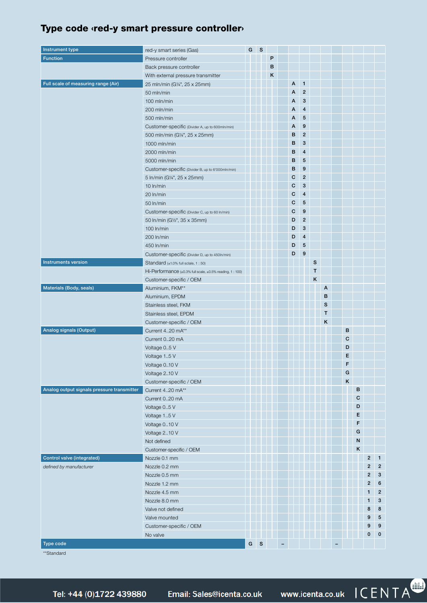#### Type code ‹red-y smart pressure controller›

| Instrument type                            | red-y smart series (Gas)                                  | G | S         |   |   |   |                  |   |   |         |   |                         |                  |
|--------------------------------------------|-----------------------------------------------------------|---|-----------|---|---|---|------------------|---|---|---------|---|-------------------------|------------------|
| Function                                   | Pressure controller                                       |   |           | P |   |   |                  |   |   |         |   |                         |                  |
|                                            | Back pressure controller                                  |   |           | в |   |   |                  |   |   |         |   |                         |                  |
|                                            | With external pressure transmitter                        |   |           | Κ |   |   |                  |   |   |         |   |                         |                  |
| Full scale of measuring range (Air)        | 25 mln/min (G1/4", 25 x 25mm)                             |   |           |   |   | A | $\mathbf{1}$     |   |   |         |   |                         |                  |
|                                            | 50 mln/min                                                |   |           |   |   | A | $\overline{2}$   |   |   |         |   |                         |                  |
|                                            | 100 mln/min                                               |   |           |   |   | A | 3                |   |   |         |   |                         |                  |
|                                            | 200 mln/min                                               |   |           |   |   | A | $\overline{4}$   |   |   |         |   |                         |                  |
|                                            | 500 mln/min                                               |   |           |   |   | A | 5                |   |   |         |   |                         |                  |
|                                            | Customer-specific (Divider A, up to 600mln/min)           |   |           |   |   | A | 9                |   |   |         |   |                         |                  |
|                                            | 500 mln/min (G1/4", 25 x 25mm)                            |   |           |   |   | в | $\mathbf{2}$     |   |   |         |   |                         |                  |
|                                            | 1000 mln/min                                              |   |           |   |   | в | $\mathbf{3}$     |   |   |         |   |                         |                  |
|                                            | 2000 mln/min                                              |   |           |   |   | в | 4                |   |   |         |   |                         |                  |
|                                            | 5000 mln/min                                              |   |           |   |   | в | 5                |   |   |         |   |                         |                  |
|                                            | Customer-specific (Divider B, up to 6'000mln/min)         |   |           |   |   | в | 9                |   |   |         |   |                         |                  |
|                                            | 5 In/min (G1/4", 25 x 25mm)                               |   |           |   |   | C | $\overline{2}$   |   |   |         |   |                         |                  |
|                                            | 10 In/min                                                 |   |           |   |   | C | $\mathbf{3}$     |   |   |         |   |                         |                  |
|                                            | 20 In/min                                                 |   |           |   |   | C | $\overline{4}$   |   |   |         |   |                         |                  |
|                                            | 50 In/min                                                 |   |           |   |   | C | 5                |   |   |         |   |                         |                  |
|                                            | Customer-specific (Divider C, up to 60 In/min)            |   |           |   |   | C | 9                |   |   |         |   |                         |                  |
|                                            | 50 ln/min (G1/2", 35 x 35mm)                              |   |           |   |   | D | $\overline{2}$   |   |   |         |   |                         |                  |
|                                            | 100 ln/min                                                |   |           |   |   | D | 3                |   |   |         |   |                         |                  |
|                                            | 200 In/min                                                |   |           |   |   | D | $\overline{4}$   |   |   |         |   |                         |                  |
|                                            | 450 In/min                                                |   |           |   |   | D | 5                |   |   |         |   |                         |                  |
|                                            | Customer-specific (Divider D, up to 450In/min)            |   |           |   |   | D | $\boldsymbol{9}$ |   |   |         |   |                         |                  |
| Instruments version                        | Standard (±1.0% full sclale, 1 : 50)                      |   |           |   |   |   |                  | s |   |         |   |                         |                  |
|                                            | Hi-Performance (±0.3% full scale, ±0.5% reading, 1 : 100) |   |           |   |   |   |                  | Т |   |         |   |                         |                  |
|                                            | Customer-specific / OEM                                   |   |           |   |   |   |                  | Κ |   |         |   |                         |                  |
| Materials (Body, seals)                    | Aluminium, FKM**                                          |   |           |   |   |   |                  |   | A |         |   |                         |                  |
|                                            | Aluminium, EPDM                                           |   |           |   |   |   |                  |   | B |         |   |                         |                  |
|                                            | Stainless steel, FKM                                      |   |           |   |   |   |                  |   | s |         |   |                         |                  |
|                                            | Stainless steel, EPDM                                     |   |           |   |   |   |                  |   | Т |         |   |                         |                  |
|                                            |                                                           |   |           |   |   |   |                  |   | κ |         |   |                         |                  |
| Analog signals (Output)                    | Customer-specific / OEM<br>Current 420 mA**               |   |           |   |   |   |                  |   |   | в       |   |                         |                  |
|                                            |                                                           |   |           |   |   |   |                  |   |   | с       |   |                         |                  |
| Analog output signals pressure transmitter | Current 020 mA                                            |   |           |   |   |   |                  |   |   | D       |   |                         |                  |
|                                            | Voltage 05 V                                              |   |           |   |   |   |                  |   |   | Е       |   |                         |                  |
|                                            | Voltage 15 V                                              |   |           |   |   |   |                  |   |   | F       |   |                         |                  |
|                                            | Voltage 010 V                                             |   |           |   |   |   |                  |   |   | G       |   |                         |                  |
|                                            | Voltage 210 V                                             |   |           |   |   |   |                  |   |   | $\sf K$ |   |                         |                  |
|                                            | Customer-specific / OEM                                   |   |           |   |   |   |                  |   |   |         | в |                         |                  |
|                                            | Current 420 mA**                                          |   |           |   |   |   |                  |   |   |         | с |                         |                  |
|                                            | Current 020 mA                                            |   |           |   |   |   |                  |   |   |         | D |                         |                  |
|                                            | Voltage 05 V                                              |   |           |   |   |   |                  |   |   |         | Е |                         |                  |
|                                            | Voltage 15 V                                              |   |           |   |   |   |                  |   |   |         | F |                         |                  |
|                                            | Voltage 010 V                                             |   |           |   |   |   |                  |   |   |         | G |                         |                  |
|                                            | Voltage 210 V                                             |   |           |   |   |   |                  |   |   |         | N |                         |                  |
|                                            | Not defined                                               |   |           |   |   |   |                  |   |   |         | Κ |                         |                  |
|                                            | Customer-specific / OEM                                   |   |           |   |   |   |                  |   |   |         |   |                         |                  |
| Control valve (integrated)                 | Nozzle 0.1 mm                                             |   |           |   |   |   |                  |   |   |         |   | $\overline{\mathbf{c}}$ | $\mathbf{1}$     |
| defined by manufacturer                    | Nozzle 0.2 mm                                             |   |           |   |   |   |                  |   |   |         |   | $\overline{\mathbf{c}}$ | $\overline{c}$   |
|                                            | Nozzle 0.5 mm                                             |   |           |   |   |   |                  |   |   |         |   | 2                       | 3                |
|                                            | Nozzle 1.2 mm                                             |   |           |   |   |   |                  |   |   |         |   | $\overline{\mathbf{c}}$ | 6                |
|                                            | Nozzle 4.5 mm                                             |   |           |   |   |   |                  |   |   |         |   | 1                       | $\boldsymbol{2}$ |
|                                            | Nozzle 8.0 mm                                             |   |           |   |   |   |                  |   |   |         |   | 1                       | 3                |
|                                            | Valve not defined                                         |   |           |   |   |   |                  |   |   |         |   | 8                       | 8                |
|                                            | Valve mounted                                             |   |           |   |   |   |                  |   |   |         |   | 9                       | 5                |
|                                            | Customer-specific / OEM                                   |   |           |   |   |   |                  |   |   |         |   | 9                       | 9                |
|                                            | No valve                                                  |   |           |   |   |   |                  |   |   |         |   | 0                       | $\mathbf 0$      |
| <b>Type code</b>                           |                                                           | G | ${\bf S}$ |   | - |   |                  |   |   |         |   |                         |                  |

\*\*Standard

Email: Sales@icenta.co.uk

www.icenta.co.uk ICENTA